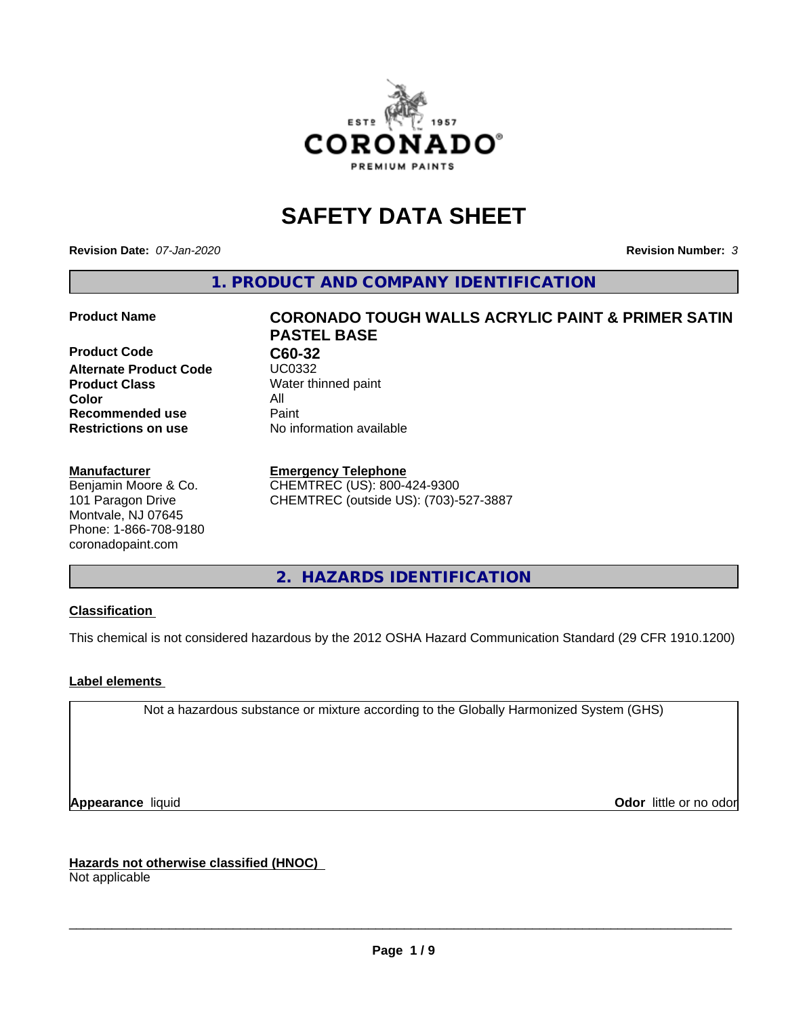

# **SAFETY DATA SHEET**

**Revision Date:** *07-Jan-2020* **Revision Number:** *3*

**1. PRODUCT AND COMPANY IDENTIFICATION**

**Product Code C60-32 Alternate Product Code Product Class** Water thinned paint<br> **Color** All **Color** All **Recommended use Caint Restrictions on use** No information available

#### **Manufacturer**

Benjamin Moore & Co. 101 Paragon Drive Montvale, NJ 07645 Phone: 1-866-708-9180 coronadopaint.com

# **Product Name CORONADO TOUGH WALLS ACRYLIC PAINT & PRIMER SATIN PASTEL BASE**

#### **Emergency Telephone**

CHEMTREC (US): 800-424-9300 CHEMTREC (outside US): (703)-527-3887

**2. HAZARDS IDENTIFICATION**

#### **Classification**

This chemical is not considered hazardous by the 2012 OSHA Hazard Communication Standard (29 CFR 1910.1200)

#### **Label elements**

Not a hazardous substance or mixture according to the Globally Harmonized System (GHS)

**Appearance** liquid **Contract Contract Contract Contract Contract Contract Contract Contract Contract Contract Contract Contract Contract Contract Contract Contract Contract Contract Contract Contract Contract Contract Con** 

**Hazards not otherwise classified (HNOC)**

Not applicable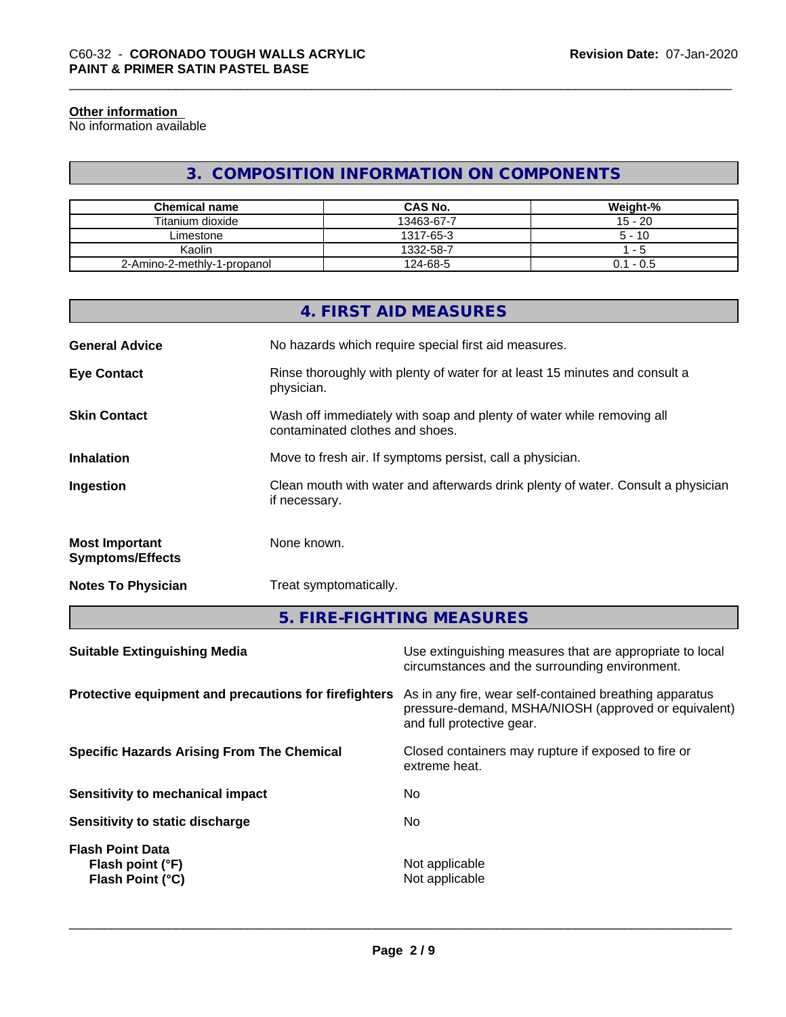#### **Other information**

No information available

### **3. COMPOSITION INFORMATION ON COMPONENTS**

| <b>Chemical name</b>        | <b>CAS No.</b> | Weight-%    |
|-----------------------------|----------------|-------------|
| Titanium dioxide            | 13463-67-7     | $15 - 20$   |
| ∟imestone                   | 1317-65-3      | $5 - 10$    |
| Kaolin                      | 1332-58-7      | - 5         |
| 2-Amino-2-methly-1-propanol | 124-68-5       | $0.1 - 0.5$ |

|                                                  | 4. FIRST AID MEASURES                                                                                    |
|--------------------------------------------------|----------------------------------------------------------------------------------------------------------|
| <b>General Advice</b>                            | No hazards which require special first aid measures.                                                     |
| <b>Eye Contact</b>                               | Rinse thoroughly with plenty of water for at least 15 minutes and consult a<br>physician.                |
| <b>Skin Contact</b>                              | Wash off immediately with soap and plenty of water while removing all<br>contaminated clothes and shoes. |
| <b>Inhalation</b>                                | Move to fresh air. If symptoms persist, call a physician.                                                |
| Ingestion                                        | Clean mouth with water and afterwards drink plenty of water. Consult a physician<br>if necessary.        |
| <b>Most Important</b><br><b>Symptoms/Effects</b> | None known.                                                                                              |
| <b>Notes To Physician</b>                        | Treat symptomatically.                                                                                   |

**5. FIRE-FIGHTING MEASURES**

| <b>Suitable Extinguishing Media</b>                             | Use extinguishing measures that are appropriate to local<br>circumstances and the surrounding environment.                                   |
|-----------------------------------------------------------------|----------------------------------------------------------------------------------------------------------------------------------------------|
| Protective equipment and precautions for firefighters           | As in any fire, wear self-contained breathing apparatus<br>pressure-demand, MSHA/NIOSH (approved or equivalent)<br>and full protective gear. |
| <b>Specific Hazards Arising From The Chemical</b>               | Closed containers may rupture if exposed to fire or<br>extreme heat.                                                                         |
| Sensitivity to mechanical impact                                | No.                                                                                                                                          |
| Sensitivity to static discharge                                 | No.                                                                                                                                          |
| <b>Flash Point Data</b><br>Flash point (°F)<br>Flash Point (°C) | Not applicable<br>Not applicable                                                                                                             |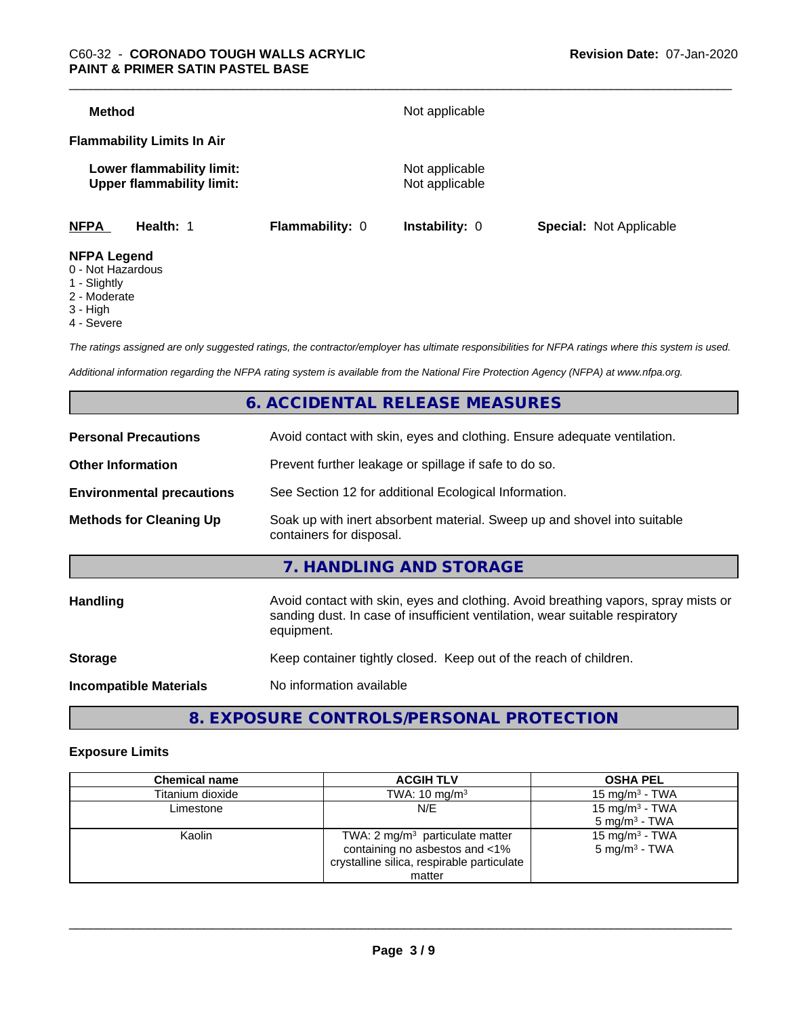| Method                                                        |                 | Not applicable                   |                                |
|---------------------------------------------------------------|-----------------|----------------------------------|--------------------------------|
| <b>Flammability Limits In Air</b>                             |                 |                                  |                                |
| Lower flammability limit:<br><b>Upper flammability limit:</b> |                 | Not applicable<br>Not applicable |                                |
| <b>NFPA</b><br>Health: 1                                      | Flammability: 0 | <b>Instability: 0</b>            | <b>Special: Not Applicable</b> |
| <b>NFPA Legend</b><br>$0$ Not Horordoug                       |                 |                                  |                                |

- 0 Not Hazardous
- 1 Slightly
- 2 Moderate
- 3 High
- 4 Severe

*The ratings assigned are only suggested ratings, the contractor/employer has ultimate responsibilities for NFPA ratings where this system is used.*

*Additional information regarding the NFPA rating system is available from the National Fire Protection Agency (NFPA) at www.nfpa.org.*

### **6. ACCIDENTAL RELEASE MEASURES**

| <b>Personal Precautions</b>      | Avoid contact with skin, eyes and clothing. Ensure adequate ventilation.                                                                                                         |
|----------------------------------|----------------------------------------------------------------------------------------------------------------------------------------------------------------------------------|
| <b>Other Information</b>         | Prevent further leakage or spillage if safe to do so.                                                                                                                            |
| <b>Environmental precautions</b> | See Section 12 for additional Ecological Information.                                                                                                                            |
| <b>Methods for Cleaning Up</b>   | Soak up with inert absorbent material. Sweep up and shovel into suitable<br>containers for disposal.                                                                             |
|                                  | 7. HANDLING AND STORAGE                                                                                                                                                          |
| Handling                         | Avoid contact with skin, eyes and clothing. Avoid breathing vapors, spray mists or<br>sanding dust. In case of insufficient ventilation, wear suitable respiratory<br>equipment. |
| <b>Storage</b>                   | Keep container tightly closed. Keep out of the reach of children.                                                                                                                |
| <b>Incompatible Materials</b>    | No information available                                                                                                                                                         |
|                                  |                                                                                                                                                                                  |

## **8. EXPOSURE CONTROLS/PERSONAL PROTECTION**

#### **Exposure Limits**

| <b>Chemical name</b> | <b>ACGIH TLV</b>                                                                                                           | <b>OSHA PEL</b>                                        |
|----------------------|----------------------------------------------------------------------------------------------------------------------------|--------------------------------------------------------|
| Titanium dioxide     | TWA: $10 \text{ mg/m}^3$                                                                                                   | 15 mg/m $3$ - TWA                                      |
| Limestone            | N/E                                                                                                                        | 15 mg/m <sup>3</sup> - TWA<br>$5 \text{ mg/m}^3$ - TWA |
| Kaolin               | TWA: $2 \text{ mg/m}^3$ particulate matter<br>containing no asbestos and <1%<br>crystalline silica, respirable particulate | 15 mg/m <sup>3</sup> - TWA<br>$5 \text{ mg/m}^3$ - TWA |
|                      | matter                                                                                                                     |                                                        |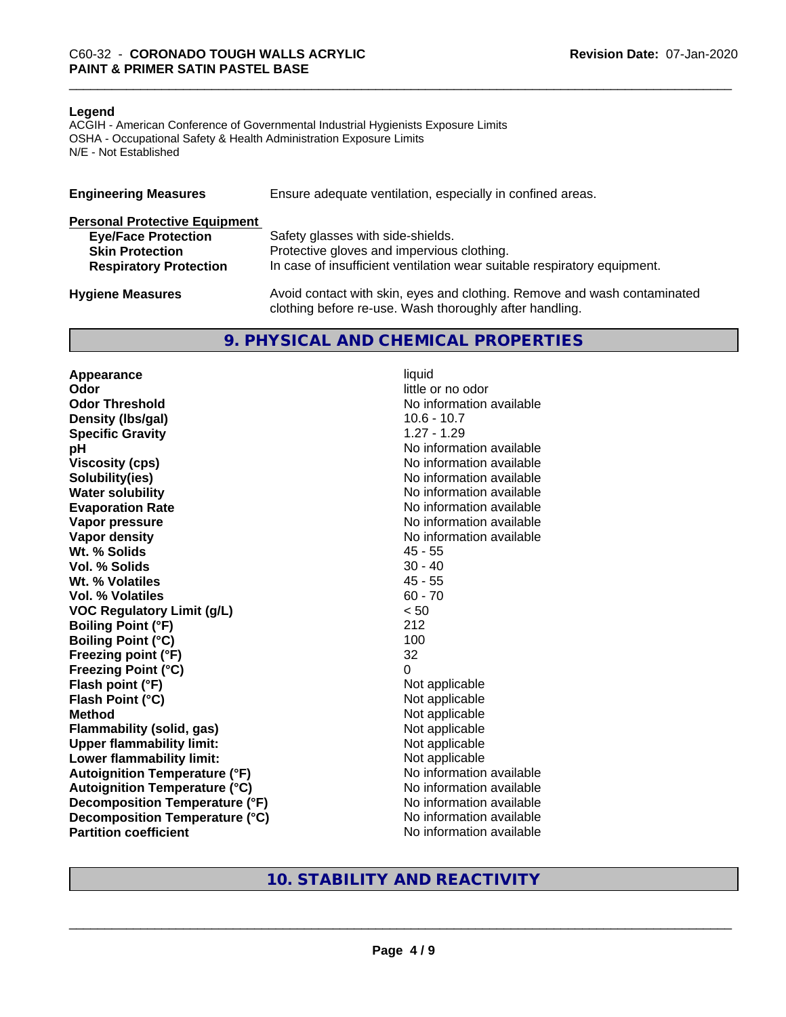#### **Legend**

ACGIH - American Conference of Governmental Industrial Hygienists Exposure Limits OSHA - Occupational Safety & Health Administration Exposure Limits N/E - Not Established

| <b>Engineering Measures</b>          | Ensure adequate ventilation, especially in confined areas.                                                                          |
|--------------------------------------|-------------------------------------------------------------------------------------------------------------------------------------|
| <b>Personal Protective Equipment</b> |                                                                                                                                     |
| <b>Eye/Face Protection</b>           | Safety glasses with side-shields.                                                                                                   |
| <b>Skin Protection</b>               | Protective gloves and impervious clothing.                                                                                          |
| <b>Respiratory Protection</b>        | In case of insufficient ventilation wear suitable respiratory equipment.                                                            |
| <b>Hygiene Measures</b>              | Avoid contact with skin, eyes and clothing. Remove and wash contaminated<br>clothing before re-use. Wash thoroughly after handling. |

#### **9. PHYSICAL AND CHEMICAL PROPERTIES**

**Appearance** liquid **Odor** little or no odor **Odor Threshold No information available No information available Density (lbs/gal)** 10.6 - 10.7 **Specific Gravity** 1.27 - 1.29 **pH pH**  $\blacksquare$ **Viscosity (cps)** No information available **Solubility(ies)** No information available **Water solubility** No information available **Evaporation Rate No information available No information available Vapor pressure** No information available **No information available Vapor density**<br> **We Solids**<br>
We Solids
2019 Wt. % Solids **Vol. % Solids** 30 - 40 **Wt. % Volatiles** 45 - 55 **Vol. % Volatiles** 60 - 70 **VOC Regulatory Limit (g/L)** < 50 **Boiling Point (°F)** 212 **Boiling Point (°C)** 100 **Freezing point (°F)** 32 **Freezing Point (°C)** 0 **Flash point (°F)**<br> **Flash Point (°C)**<br> **Flash Point (°C)**<br> **C Flash Point (°C) Method** Not applicable **Flammability (solid, gas)**<br> **Upper flammability limit:**<br>
Upper flammability limit:<br>  $\begin{array}{ccc}\n\bullet & \bullet & \bullet \\
\bullet & \bullet & \bullet\n\end{array}$  Not applicable **Upper flammability limit:**<br> **Lower flammability limit:** Not applicable Not applicable **Lower flammability limit: Autoignition Temperature (°F)** No information available **Autoignition Temperature (°C)** No information available **Decomposition Temperature (°F)** No information available **Decomposition Temperature (°C)** No information available **Partition coefficient** No information available

### **10. STABILITY AND REACTIVITY**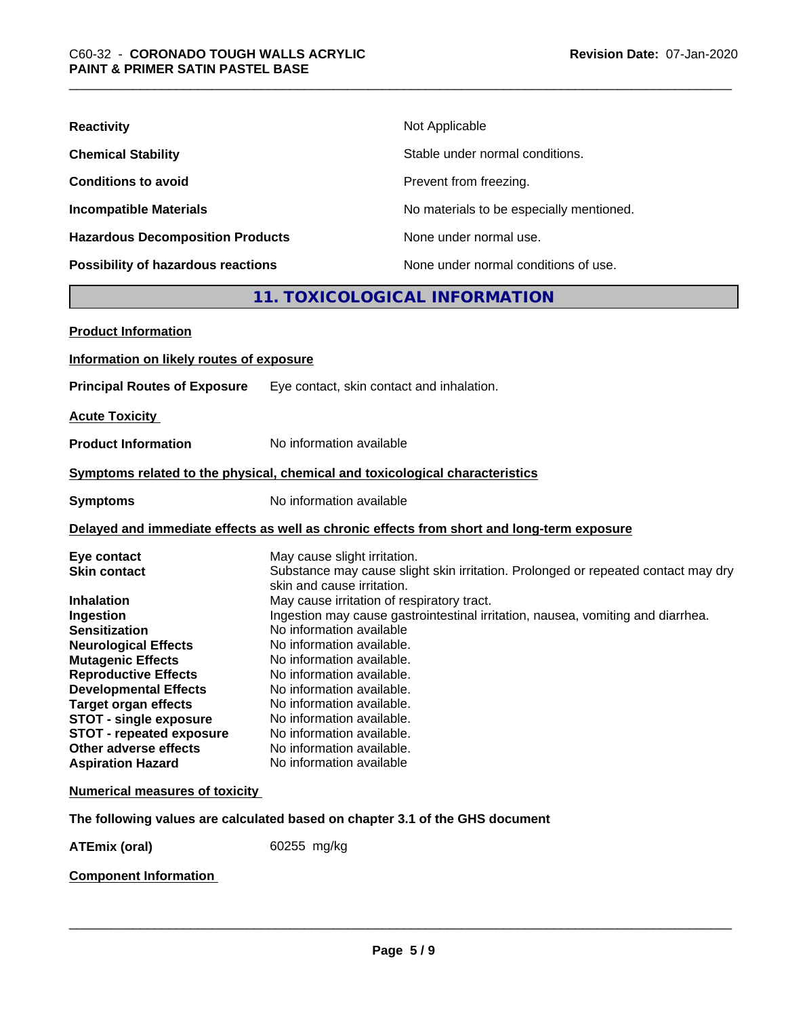| <b>Reactivity</b>                         | Not Applicable                           |
|-------------------------------------------|------------------------------------------|
| <b>Chemical Stability</b>                 | Stable under normal conditions.          |
| <b>Conditions to avoid</b>                | Prevent from freezing.                   |
| <b>Incompatible Materials</b>             | No materials to be especially mentioned. |
| <b>Hazardous Decomposition Products</b>   | None under normal use.                   |
| <b>Possibility of hazardous reactions</b> | None under normal conditions of use.     |

### **11. TOXICOLOGICAL INFORMATION**

| <b>Product Information</b>                                                                                                                                                                                                                                                                                                                                                     |                                                                                                                                                                                                                                                                                                                                                                                                                                                                                                                                                                                  |
|--------------------------------------------------------------------------------------------------------------------------------------------------------------------------------------------------------------------------------------------------------------------------------------------------------------------------------------------------------------------------------|----------------------------------------------------------------------------------------------------------------------------------------------------------------------------------------------------------------------------------------------------------------------------------------------------------------------------------------------------------------------------------------------------------------------------------------------------------------------------------------------------------------------------------------------------------------------------------|
| Information on likely routes of exposure                                                                                                                                                                                                                                                                                                                                       |                                                                                                                                                                                                                                                                                                                                                                                                                                                                                                                                                                                  |
| <b>Principal Routes of Exposure</b>                                                                                                                                                                                                                                                                                                                                            | Eye contact, skin contact and inhalation.                                                                                                                                                                                                                                                                                                                                                                                                                                                                                                                                        |
| <b>Acute Toxicity</b>                                                                                                                                                                                                                                                                                                                                                          |                                                                                                                                                                                                                                                                                                                                                                                                                                                                                                                                                                                  |
| <b>Product Information</b>                                                                                                                                                                                                                                                                                                                                                     | No information available                                                                                                                                                                                                                                                                                                                                                                                                                                                                                                                                                         |
|                                                                                                                                                                                                                                                                                                                                                                                | Symptoms related to the physical, chemical and toxicological characteristics                                                                                                                                                                                                                                                                                                                                                                                                                                                                                                     |
| <b>Symptoms</b>                                                                                                                                                                                                                                                                                                                                                                | No information available                                                                                                                                                                                                                                                                                                                                                                                                                                                                                                                                                         |
|                                                                                                                                                                                                                                                                                                                                                                                | Delayed and immediate effects as well as chronic effects from short and long-term exposure                                                                                                                                                                                                                                                                                                                                                                                                                                                                                       |
| Eye contact<br><b>Skin contact</b><br><b>Inhalation</b><br>Ingestion<br><b>Sensitization</b><br><b>Neurological Effects</b><br><b>Mutagenic Effects</b><br><b>Reproductive Effects</b><br><b>Developmental Effects</b><br><b>Target organ effects</b><br><b>STOT - single exposure</b><br><b>STOT - repeated exposure</b><br>Other adverse effects<br><b>Aspiration Hazard</b> | May cause slight irritation.<br>Substance may cause slight skin irritation. Prolonged or repeated contact may dry<br>skin and cause irritation.<br>May cause irritation of respiratory tract.<br>Ingestion may cause gastrointestinal irritation, nausea, vomiting and diarrhea.<br>No information available<br>No information available.<br>No information available.<br>No information available.<br>No information available.<br>No information available.<br>No information available.<br>No information available.<br>No information available.<br>No information available |
| <b>Numerical measures of toxicity</b>                                                                                                                                                                                                                                                                                                                                          |                                                                                                                                                                                                                                                                                                                                                                                                                                                                                                                                                                                  |
|                                                                                                                                                                                                                                                                                                                                                                                | The following values are calculated based on chapter 3.1 of the GHS document                                                                                                                                                                                                                                                                                                                                                                                                                                                                                                     |
| <b>ATEmix (oral)</b>                                                                                                                                                                                                                                                                                                                                                           | 60255 mg/kg                                                                                                                                                                                                                                                                                                                                                                                                                                                                                                                                                                      |

**Component Information**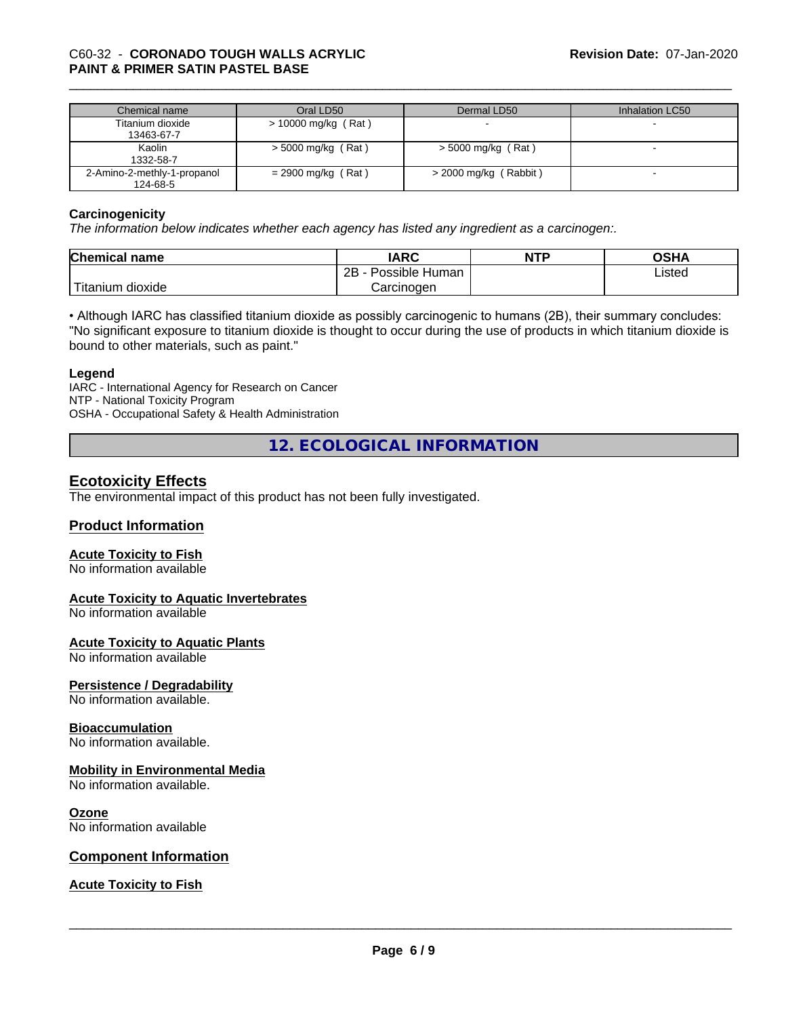# \_\_\_\_\_\_\_\_\_\_\_\_\_\_\_\_\_\_\_\_\_\_\_\_\_\_\_\_\_\_\_\_\_\_\_\_\_\_\_\_\_\_\_\_\_\_\_\_\_\_\_\_\_\_\_\_\_\_\_\_\_\_\_\_\_\_\_\_\_\_\_\_\_\_\_\_\_\_\_\_\_\_\_\_\_\_\_\_\_\_\_\_\_ C60-32 - **CORONADO TOUGH WALLS ACRYLIC PAINT & PRIMER SATIN PASTEL BASE**

| Chemical name               | Oral LD50             | Dermal LD50           | Inhalation LC50 |
|-----------------------------|-----------------------|-----------------------|-----------------|
| Titanium dioxide            | $>$ 10000 mg/kg (Rat) |                       |                 |
| 13463-67-7                  |                       |                       |                 |
| Kaolin                      | $>$ 5000 mg/kg (Rat)  | $>$ 5000 mg/kg (Rat)  |                 |
| 1332-58-7                   |                       |                       |                 |
| 2-Amino-2-methly-1-propanol | $= 2900$ mg/kg (Rat)  | > 2000 mg/kg (Rabbit) |                 |
| 124-68-5                    |                       |                       |                 |

#### **Carcinogenicity**

*The information below indicateswhether each agency has listed any ingredient as a carcinogen:.*

| <b>Chemical</b><br>name   | <b>IARC</b>                    | <b>NTP</b> | <b>OSHA</b> |
|---------------------------|--------------------------------|------------|-------------|
|                           | .<br>2B<br>: Human<br>Possible |            | Listed      |
| dioxide<br><b>itanium</b> | Carcinoɑen                     |            |             |

• Although IARC has classified titanium dioxide as possibly carcinogenic to humans (2B), their summary concludes: "No significant exposure to titanium dioxide is thought to occur during the use of products in which titanium dioxide is bound to other materials, such as paint."

#### **Legend**

IARC - International Agency for Research on Cancer NTP - National Toxicity Program OSHA - Occupational Safety & Health Administration

**12. ECOLOGICAL INFORMATION**

### **Ecotoxicity Effects**

The environmental impact of this product has not been fully investigated.

#### **Product Information**

#### **Acute Toxicity to Fish**

No information available

#### **Acute Toxicity to Aquatic Invertebrates**

No information available

#### **Acute Toxicity to Aquatic Plants**

No information available

#### **Persistence / Degradability**

No information available.

#### **Bioaccumulation**

No information available.

#### **Mobility in Environmental Media**

No information available.

#### **Ozone**

No information available

#### **Component Information**

#### **Acute Toxicity to Fish**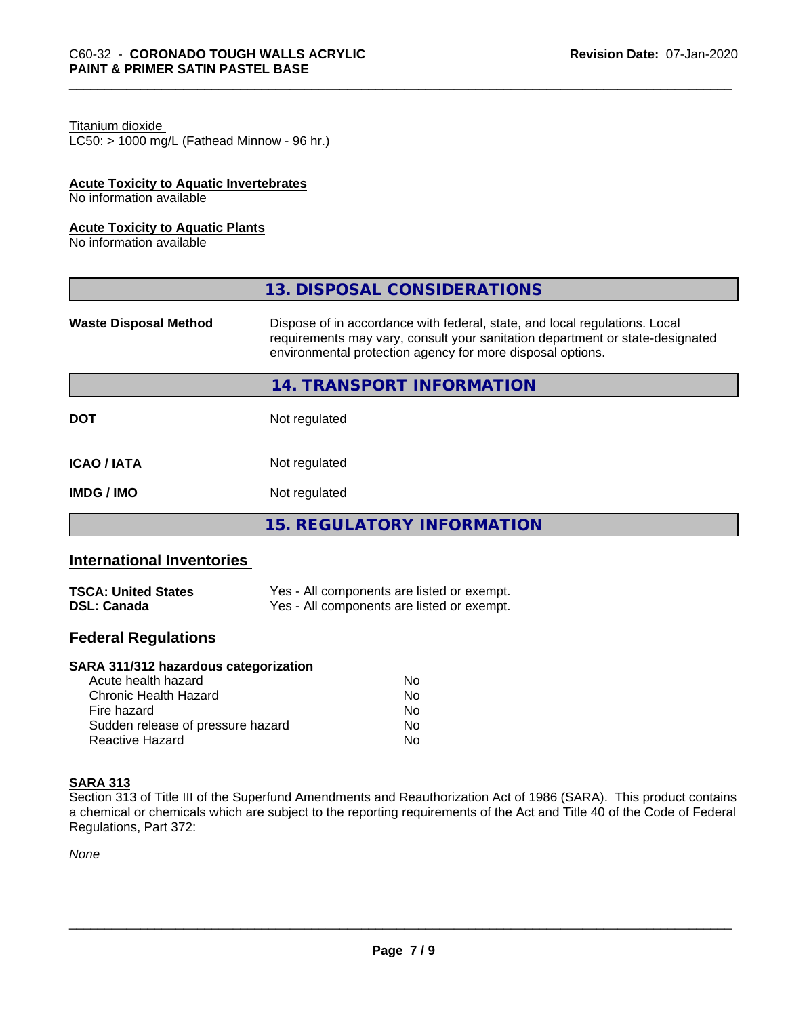### Titanium dioxide

 $LC50:$  > 1000 mg/L (Fathead Minnow - 96 hr.)

#### **Acute Toxicity to Aquatic Invertebrates**

No information available

#### **Acute Toxicity to Aquatic Plants**

No information available

|                              | 13. DISPOSAL CONSIDERATIONS                                                                                                                                                                                               |
|------------------------------|---------------------------------------------------------------------------------------------------------------------------------------------------------------------------------------------------------------------------|
| <b>Waste Disposal Method</b> | Dispose of in accordance with federal, state, and local regulations. Local<br>requirements may vary, consult your sanitation department or state-designated<br>environmental protection agency for more disposal options. |
|                              | 14. TRANSPORT INFORMATION                                                                                                                                                                                                 |
| <b>DOT</b>                   | Not regulated                                                                                                                                                                                                             |
| <b>ICAO/IATA</b>             | Not regulated                                                                                                                                                                                                             |
| <b>IMDG/IMO</b>              | Not regulated                                                                                                                                                                                                             |
|                              | <b>15. REGULATORY INFORMATION</b>                                                                                                                                                                                         |

### **International Inventories**

| <b>TSCA: United States</b> | Yes - All components are listed or exempt. |
|----------------------------|--------------------------------------------|
| <b>DSL: Canada</b>         | Yes - All components are listed or exempt. |

### **Federal Regulations**

#### **SARA 311/312 hazardous categorization**

| Acute health hazard               | No |
|-----------------------------------|----|
| Chronic Health Hazard             | N٥ |
| Fire hazard                       | Nο |
| Sudden release of pressure hazard | Nο |
| Reactive Hazard                   | N٥ |

#### **SARA 313**

Section 313 of Title III of the Superfund Amendments and Reauthorization Act of 1986 (SARA). This product contains a chemical or chemicals which are subject to the reporting requirements of the Act and Title 40 of the Code of Federal Regulations, Part 372:

*None*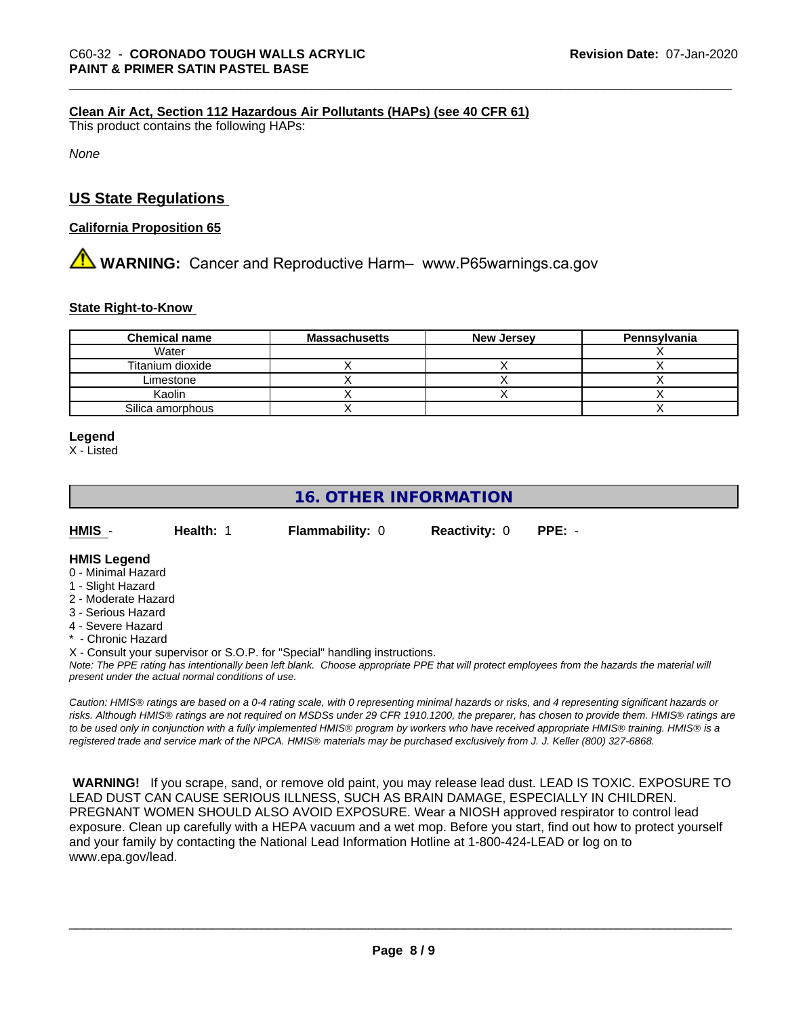#### **Clean Air Act,Section 112 Hazardous Air Pollutants (HAPs) (see 40 CFR 61)**

This product contains the following HAPs:

*None*

### **US State Regulations**

#### **California Proposition 65**

# **AVIMARNING:** Cancer and Reproductive Harm– www.P65warnings.ca.gov

#### **State Right-to-Know**

| <b>Chemical name</b> | <b>Massachusetts</b> | <b>New Jersey</b> | Pennsylvania |
|----------------------|----------------------|-------------------|--------------|
| Water                |                      |                   |              |
| Titanium dioxide     |                      |                   |              |
| Limestone            |                      |                   |              |
| Kaolin               |                      |                   |              |
| Silica amorphous     |                      |                   |              |

#### **Legend**

X - Listed

### **16. OTHER INFORMATION**

| - HMIS | Health: 1 | <b>Flammability: 0</b> |  |
|--------|-----------|------------------------|--|

0 **Reactivity: 0 PPE: -**

#### **HMIS Legend**

- 0 Minimal Hazard
- 1 Slight Hazard
- 2 Moderate Hazard
- 3 Serious Hazard
- 4 Severe Hazard
- \* Chronic Hazard

X - Consult your supervisor or S.O.P. for "Special" handling instructions.

*Note: The PPE rating has intentionally been left blank. Choose appropriate PPE that will protect employees from the hazards the material will present under the actual normal conditions of use.*

*Caution: HMISÒ ratings are based on a 0-4 rating scale, with 0 representing minimal hazards or risks, and 4 representing significant hazards or risks. Although HMISÒ ratings are not required on MSDSs under 29 CFR 1910.1200, the preparer, has chosen to provide them. HMISÒ ratings are to be used only in conjunction with a fully implemented HMISÒ program by workers who have received appropriate HMISÒ training. HMISÒ is a registered trade and service mark of the NPCA. HMISÒ materials may be purchased exclusively from J. J. Keller (800) 327-6868.*

 **WARNING!** If you scrape, sand, or remove old paint, you may release lead dust. LEAD IS TOXIC. EXPOSURE TO LEAD DUST CAN CAUSE SERIOUS ILLNESS, SUCH AS BRAIN DAMAGE, ESPECIALLY IN CHILDREN. PREGNANT WOMEN SHOULD ALSO AVOID EXPOSURE.Wear a NIOSH approved respirator to control lead exposure. Clean up carefully with a HEPA vacuum and a wet mop. Before you start, find out how to protect yourself and your family by contacting the National Lead Information Hotline at 1-800-424-LEAD or log on to www.epa.gov/lead.